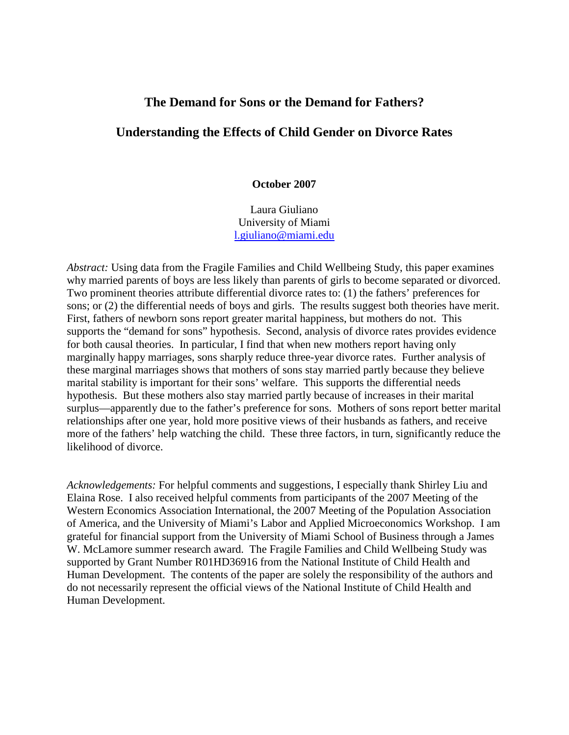# **The Demand for Sons or the Demand for Fathers?**

# **Understanding the Effects of Child Gender on Divorce Rates**

#### **October 2007**

Laura Giuliano University of Miami [l.giuliano@miami.edu](mailto:l.giuliano@miami.edu)

*Abstract:* Using data from the Fragile Families and Child Wellbeing Study, this paper examines why married parents of boys are less likely than parents of girls to become separated or divorced. Two prominent theories attribute differential divorce rates to: (1) the fathers' preferences for sons; or (2) the differential needs of boys and girls. The results suggest both theories have merit. First, fathers of newborn sons report greater marital happiness, but mothers do not. This supports the "demand for sons" hypothesis. Second, analysis of divorce rates provides evidence for both causal theories. In particular, I find that when new mothers report having only marginally happy marriages, sons sharply reduce three-year divorce rates. Further analysis of these marginal marriages shows that mothers of sons stay married partly because they believe marital stability is important for their sons' welfare. This supports the differential needs hypothesis. But these mothers also stay married partly because of increases in their marital surplus—apparently due to the father's preference for sons. Mothers of sons report better marital relationships after one year, hold more positive views of their husbands as fathers, and receive more of the fathers' help watching the child. These three factors, in turn, significantly reduce the likelihood of divorce.

*Acknowledgements:* For helpful comments and suggestions, I especially thank Shirley Liu and Elaina Rose. I also received helpful comments from participants of the 2007 Meeting of the Western Economics Association International, the 2007 Meeting of the Population Association of America, and the University of Miami's Labor and Applied Microeconomics Workshop. I am grateful for financial support from the University of Miami School of Business through a James W. McLamore summer research award. The Fragile Families and Child Wellbeing Study was supported by Grant Number R01HD36916 from the National Institute of Child Health and Human Development. The contents of the paper are solely the responsibility of the authors and do not necessarily represent the official views of the National Institute of Child Health and Human Development.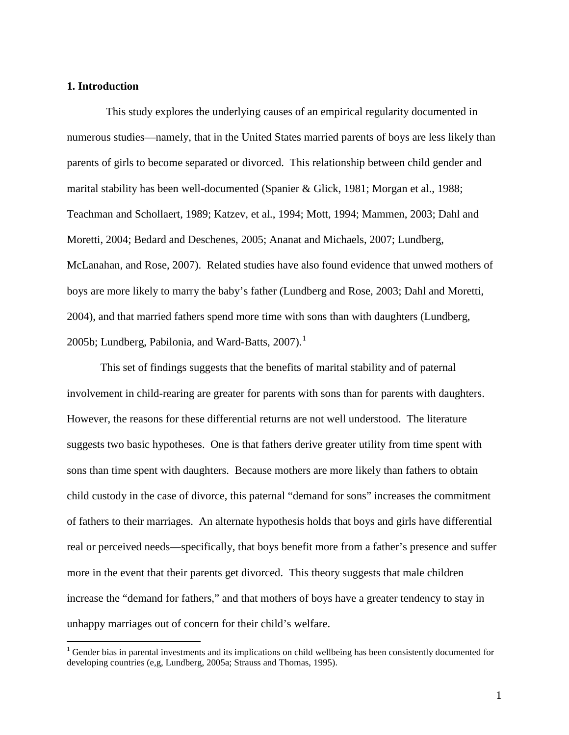# **1. Introduction**

 This study explores the underlying causes of an empirical regularity documented in numerous studies—namely, that in the United States married parents of boys are less likely than parents of girls to become separated or divorced. This relationship between child gender and marital stability has been well-documented (Spanier & Glick, 1981; Morgan et al., 1988; Teachman and Schollaert, 1989; Katzev, et al., 1994; Mott, 1994; Mammen, 2003; Dahl and Moretti, 2004; Bedard and Deschenes, 2005; Ananat and Michaels, 2007; Lundberg, McLanahan, and Rose, 2007). Related studies have also found evidence that unwed mothers of boys are more likely to marry the baby's father (Lundberg and Rose, 2003; Dahl and Moretti, 2004), and that married fathers spend more time with sons than with daughters (Lundberg, 2005b; Lundberg, Pabilonia, and Ward-Batts,  $2007$ ).<sup>[1](#page-1-0)</sup>

This set of findings suggests that the benefits of marital stability and of paternal involvement in child-rearing are greater for parents with sons than for parents with daughters. However, the reasons for these differential returns are not well understood. The literature suggests two basic hypotheses. One is that fathers derive greater utility from time spent with sons than time spent with daughters. Because mothers are more likely than fathers to obtain child custody in the case of divorce, this paternal "demand for sons" increases the commitment of fathers to their marriages. An alternate hypothesis holds that boys and girls have differential real or perceived needs—specifically, that boys benefit more from a father's presence and suffer more in the event that their parents get divorced. This theory suggests that male children increase the "demand for fathers," and that mothers of boys have a greater tendency to stay in unhappy marriages out of concern for their child's welfare.

<span id="page-1-0"></span> $<sup>1</sup>$  Gender bias in parental investments and its implications on child wellbeing has been consistently documented for</sup> developing countries (e,g, Lundberg, 2005a; Strauss and Thomas, 1995).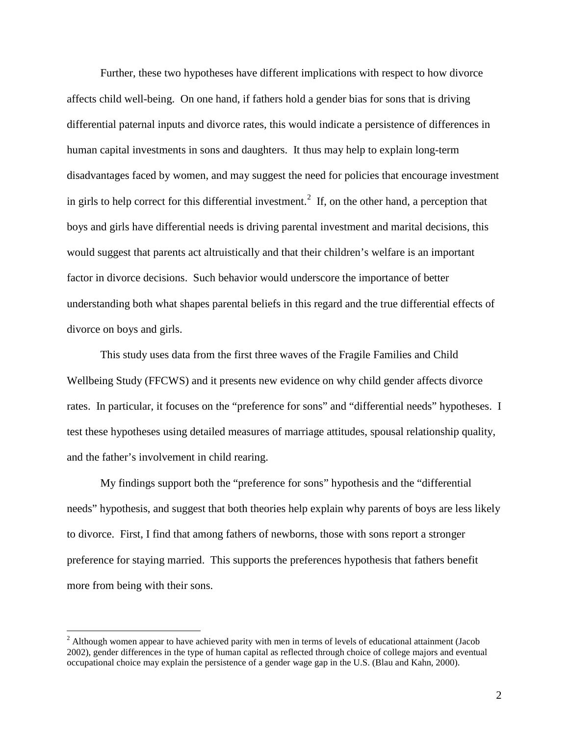Further, these two hypotheses have different implications with respect to how divorce affects child well-being. On one hand, if fathers hold a gender bias for sons that is driving differential paternal inputs and divorce rates, this would indicate a persistence of differences in human capital investments in sons and daughters. It thus may help to explain long-term disadvantages faced by women, and may suggest the need for policies that encourage investment in girls to help correct for this differential investment.<sup>[2](#page-2-0)</sup> If, on the other hand, a perception that boys and girls have differential needs is driving parental investment and marital decisions, this would suggest that parents act altruistically and that their children's welfare is an important factor in divorce decisions. Such behavior would underscore the importance of better understanding both what shapes parental beliefs in this regard and the true differential effects of divorce on boys and girls.

This study uses data from the first three waves of the Fragile Families and Child Wellbeing Study (FFCWS) and it presents new evidence on why child gender affects divorce rates. In particular, it focuses on the "preference for sons" and "differential needs" hypotheses. I test these hypotheses using detailed measures of marriage attitudes, spousal relationship quality, and the father's involvement in child rearing.

My findings support both the "preference for sons" hypothesis and the "differential needs" hypothesis, and suggest that both theories help explain why parents of boys are less likely to divorce. First, I find that among fathers of newborns, those with sons report a stronger preference for staying married. This supports the preferences hypothesis that fathers benefit more from being with their sons.

<span id="page-2-0"></span><sup>&</sup>lt;sup>2</sup> Although women appear to have achieved parity with men in terms of levels of educational attainment (Jacob 2002), gender differences in the type of human capital as reflected through choice of college majors and eventual occupational choice may explain the persistence of a gender wage gap in the U.S. (Blau and Kahn, 2000).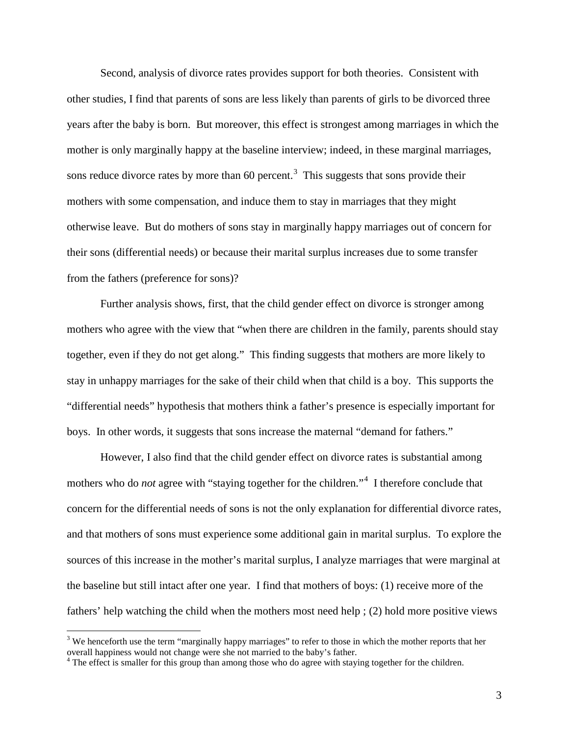Second, analysis of divorce rates provides support for both theories. Consistent with other studies, I find that parents of sons are less likely than parents of girls to be divorced three years after the baby is born. But moreover, this effect is strongest among marriages in which the mother is only marginally happy at the baseline interview; indeed, in these marginal marriages, sons reduce divorce rates by more than  $60$  percent.<sup>[3](#page-3-0)</sup> This suggests that sons provide their mothers with some compensation, and induce them to stay in marriages that they might otherwise leave. But do mothers of sons stay in marginally happy marriages out of concern for their sons (differential needs) or because their marital surplus increases due to some transfer from the fathers (preference for sons)?

Further analysis shows, first, that the child gender effect on divorce is stronger among mothers who agree with the view that "when there are children in the family, parents should stay together, even if they do not get along." This finding suggests that mothers are more likely to stay in unhappy marriages for the sake of their child when that child is a boy. This supports the "differential needs" hypothesis that mothers think a father's presence is especially important for boys. In other words, it suggests that sons increase the maternal "demand for fathers."

However, I also find that the child gender effect on divorce rates is substantial among mothers who do *not* agree with "staying together for the children."[4](#page-3-1) I therefore conclude that concern for the differential needs of sons is not the only explanation for differential divorce rates, and that mothers of sons must experience some additional gain in marital surplus. To explore the sources of this increase in the mother's marital surplus, I analyze marriages that were marginal at the baseline but still intact after one year. I find that mothers of boys: (1) receive more of the fathers' help watching the child when the mothers most need help ; (2) hold more positive views

<span id="page-3-0"></span><sup>&</sup>lt;sup>3</sup> We henceforth use the term "marginally happy marriages" to refer to those in which the mother reports that her overall happiness would not change were she not married to the baby's father.

<span id="page-3-1"></span><sup>&</sup>lt;sup>4</sup> The effect is smaller for this group than among those who do agree with staying together for the children.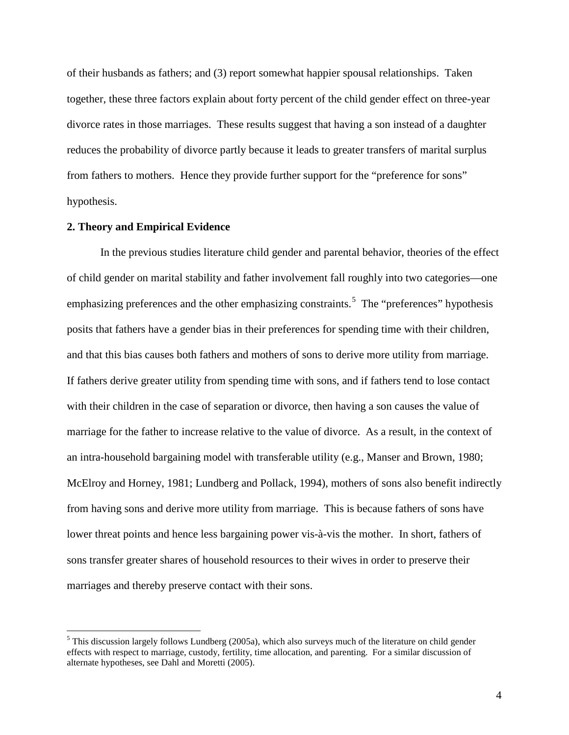of their husbands as fathers; and (3) report somewhat happier spousal relationships. Taken together, these three factors explain about forty percent of the child gender effect on three-year divorce rates in those marriages. These results suggest that having a son instead of a daughter reduces the probability of divorce partly because it leads to greater transfers of marital surplus from fathers to mothers. Hence they provide further support for the "preference for sons" hypothesis.

#### **2. Theory and Empirical Evidence**

In the previous studies literature child gender and parental behavior, theories of the effect of child gender on marital stability and father involvement fall roughly into two categories—one emphasizing preferences and the other emphasizing constraints.<sup>[5](#page-4-0)</sup> The "preferences" hypothesis posits that fathers have a gender bias in their preferences for spending time with their children, and that this bias causes both fathers and mothers of sons to derive more utility from marriage. If fathers derive greater utility from spending time with sons, and if fathers tend to lose contact with their children in the case of separation or divorce, then having a son causes the value of marriage for the father to increase relative to the value of divorce. As a result, in the context of an intra-household bargaining model with transferable utility (e.g., Manser and Brown, 1980; McElroy and Horney, 1981; Lundberg and Pollack, 1994), mothers of sons also benefit indirectly from having sons and derive more utility from marriage. This is because fathers of sons have lower threat points and hence less bargaining power vis-à-vis the mother. In short, fathers of sons transfer greater shares of household resources to their wives in order to preserve their marriages and thereby preserve contact with their sons.

<span id="page-4-0"></span><sup>&</sup>lt;sup>5</sup> This discussion largely follows Lundberg (2005a), which also surveys much of the literature on child gender effects with respect to marriage, custody, fertility, time allocation, and parenting. For a similar discussion of alternate hypotheses, see Dahl and Moretti (2005).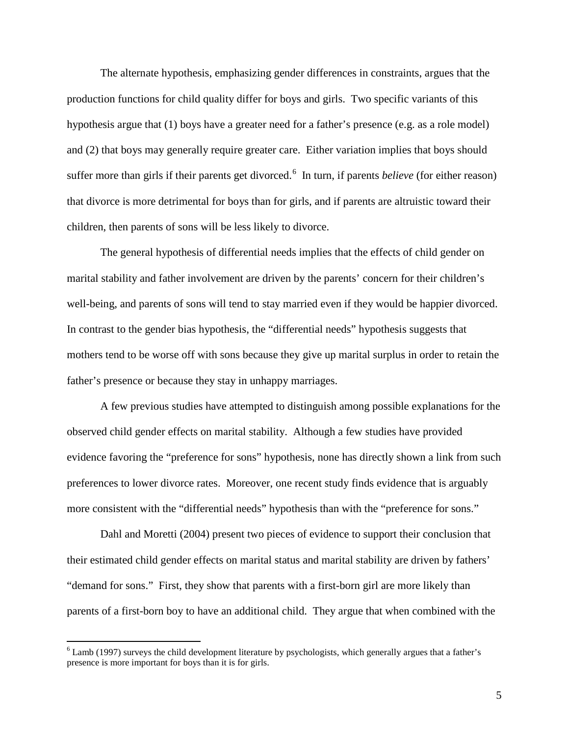The alternate hypothesis, emphasizing gender differences in constraints, argues that the production functions for child quality differ for boys and girls. Two specific variants of this hypothesis argue that (1) boys have a greater need for a father's presence (e.g. as a role model) and (2) that boys may generally require greater care. Either variation implies that boys should suffer more than girls if their parents get divorced. [6](#page-5-0) In turn, if parents *believe* (for either reason) that divorce is more detrimental for boys than for girls, and if parents are altruistic toward their children, then parents of sons will be less likely to divorce.

The general hypothesis of differential needs implies that the effects of child gender on marital stability and father involvement are driven by the parents' concern for their children's well-being, and parents of sons will tend to stay married even if they would be happier divorced. In contrast to the gender bias hypothesis, the "differential needs" hypothesis suggests that mothers tend to be worse off with sons because they give up marital surplus in order to retain the father's presence or because they stay in unhappy marriages.

A few previous studies have attempted to distinguish among possible explanations for the observed child gender effects on marital stability. Although a few studies have provided evidence favoring the "preference for sons" hypothesis, none has directly shown a link from such preferences to lower divorce rates. Moreover, one recent study finds evidence that is arguably more consistent with the "differential needs" hypothesis than with the "preference for sons."

Dahl and Moretti (2004) present two pieces of evidence to support their conclusion that their estimated child gender effects on marital status and marital stability are driven by fathers' "demand for sons." First, they show that parents with a first-born girl are more likely than parents of a first-born boy to have an additional child. They argue that when combined with the

<span id="page-5-0"></span> $6$  Lamb (1997) surveys the child development literature by psychologists, which generally argues that a father's presence is more important for boys than it is for girls.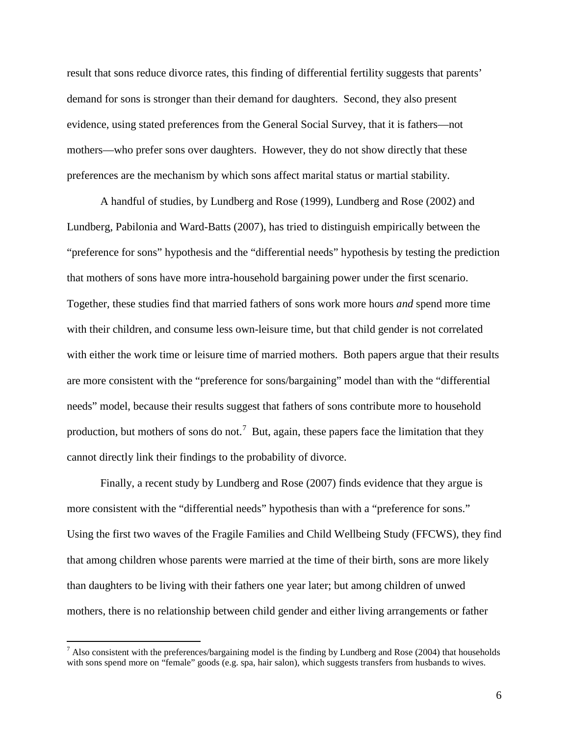result that sons reduce divorce rates, this finding of differential fertility suggests that parents' demand for sons is stronger than their demand for daughters. Second, they also present evidence, using stated preferences from the General Social Survey, that it is fathers—not mothers—who prefer sons over daughters. However, they do not show directly that these preferences are the mechanism by which sons affect marital status or martial stability.

A handful of studies, by Lundberg and Rose (1999), Lundberg and Rose (2002) and Lundberg, Pabilonia and Ward-Batts (2007), has tried to distinguish empirically between the "preference for sons" hypothesis and the "differential needs" hypothesis by testing the prediction that mothers of sons have more intra-household bargaining power under the first scenario. Together, these studies find that married fathers of sons work more hours *and* spend more time with their children, and consume less own-leisure time, but that child gender is not correlated with either the work time or leisure time of married mothers. Both papers argue that their results are more consistent with the "preference for sons/bargaining" model than with the "differential needs" model, because their results suggest that fathers of sons contribute more to household production, but mothers of sons do not.<sup>[7](#page-6-0)</sup> But, again, these papers face the limitation that they cannot directly link their findings to the probability of divorce.

Finally, a recent study by Lundberg and Rose (2007) finds evidence that they argue is more consistent with the "differential needs" hypothesis than with a "preference for sons." Using the first two waves of the Fragile Families and Child Wellbeing Study (FFCWS), they find that among children whose parents were married at the time of their birth, sons are more likely than daughters to be living with their fathers one year later; but among children of unwed mothers, there is no relationship between child gender and either living arrangements or father

<span id="page-6-0"></span> $<sup>7</sup>$  Also consistent with the preferences/bargaining model is the finding by Lundberg and Rose (2004) that households</sup> with sons spend more on "female" goods (e.g. spa, hair salon), which suggests transfers from husbands to wives.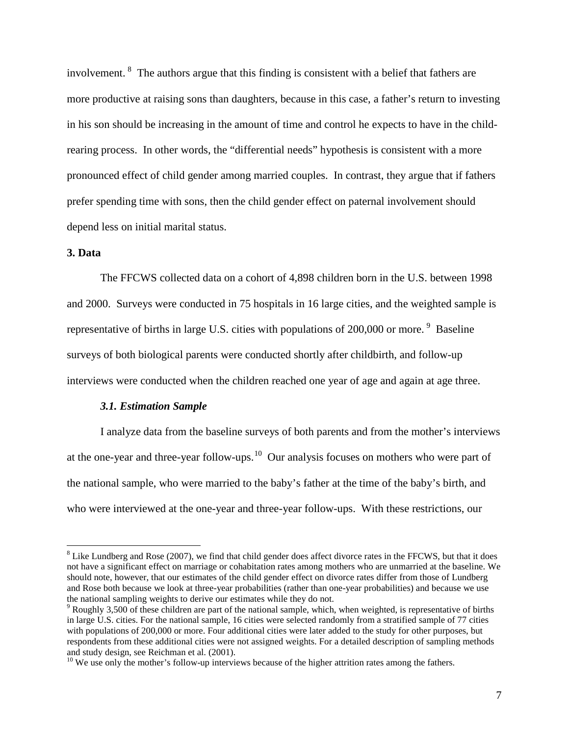involvement. <sup>[8](#page-7-0)</sup> The authors argue that this finding is consistent with a belief that fathers are more productive at raising sons than daughters, because in this case, a father's return to investing in his son should be increasing in the amount of time and control he expects to have in the childrearing process. In other words, the "differential needs" hypothesis is consistent with a more pronounced effect of child gender among married couples. In contrast, they argue that if fathers prefer spending time with sons, then the child gender effect on paternal involvement should depend less on initial marital status.

### **3. Data**

The FFCWS collected data on a cohort of 4,898 children born in the U.S. between 1998 and 2000. Surveys were conducted in 75 hospitals in 16 large cities, and the weighted sample is representative of births in large U.S. cities with populations of 200,000 or more.<sup>[9](#page-7-1)</sup> Baseline surveys of both biological parents were conducted shortly after childbirth, and follow-up interviews were conducted when the children reached one year of age and again at age three.

### *3.1. Estimation Sample*

I analyze data from the baseline surveys of both parents and from the mother's interviews at the one-year and three-year follow-ups.<sup>[10](#page-7-2)</sup> Our analysis focuses on mothers who were part of the national sample, who were married to the baby's father at the time of the baby's birth, and who were interviewed at the one-year and three-year follow-ups. With these restrictions, our

<span id="page-7-0"></span> $8$  Like Lundberg and Rose (2007), we find that child gender does affect divorce rates in the FFCWS, but that it does not have a significant effect on marriage or cohabitation rates among mothers who are unmarried at the baseline. We should note, however, that our estimates of the child gender effect on divorce rates differ from those of Lundberg and Rose both because we look at three-year probabilities (rather than one-year probabilities) and because we use the national sampling weights to derive our estimates while they do not.

<span id="page-7-1"></span> $9$  Roughly 3,500 of these children are part of the national sample, which, when weighted, is representative of births in large U.S. cities. For the national sample, 16 cities were selected randomly from a stratified sample of 77 cities with populations of 200,000 or more. Four additional cities were later added to the study for other purposes, but respondents from these additional cities were not assigned weights. For a detailed description of sampling methods and study design, see Reichman et al. (2001).

<span id="page-7-2"></span><sup>&</sup>lt;sup>10</sup> We use only the mother's follow-up interviews because of the higher attrition rates among the fathers.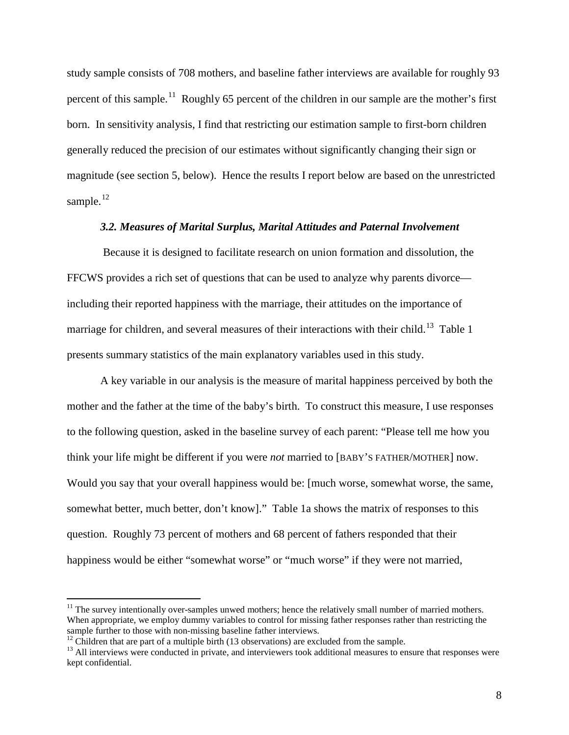study sample consists of 708 mothers, and baseline father interviews are available for roughly 93 percent of this sample.<sup>[11](#page-8-0)</sup> Roughly 65 percent of the children in our sample are the mother's first born. In sensitivity analysis, I find that restricting our estimation sample to first-born children generally reduced the precision of our estimates without significantly changing their sign or magnitude (see section 5, below). Hence the results I report below are based on the unrestricted sample. $12$ 

#### *3.2. Measures of Marital Surplus, Marital Attitudes and Paternal Involvement*

Because it is designed to facilitate research on union formation and dissolution, the FFCWS provides a rich set of questions that can be used to analyze why parents divorce including their reported happiness with the marriage, their attitudes on the importance of marriage for children, and several measures of their interactions with their child.<sup>13</sup> Table 1 presents summary statistics of the main explanatory variables used in this study.

A key variable in our analysis is the measure of marital happiness perceived by both the mother and the father at the time of the baby's birth. To construct this measure, I use responses to the following question, asked in the baseline survey of each parent: "Please tell me how you think your life might be different if you were *not* married to [BABY'S FATHER/MOTHER] now. Would you say that your overall happiness would be: [much worse, somewhat worse, the same, somewhat better, much better, don't know]." Table 1a shows the matrix of responses to this question. Roughly 73 percent of mothers and 68 percent of fathers responded that their happiness would be either "somewhat worse" or "much worse" if they were not married,

<span id="page-8-0"></span><sup>&</sup>lt;sup>11</sup> The survey intentionally over-samples unwed mothers; hence the relatively small number of married mothers. When appropriate, we employ dummy variables to control for missing father responses rather than restricting the sample further to those with non-missing baseline father interviews.<br><sup>12</sup> Children that are part of a multiple birth (13 observations) are excluded from the sample.<br><sup>13</sup> All interviews were conducted in private, and inter

<span id="page-8-2"></span><span id="page-8-1"></span>kept confidential.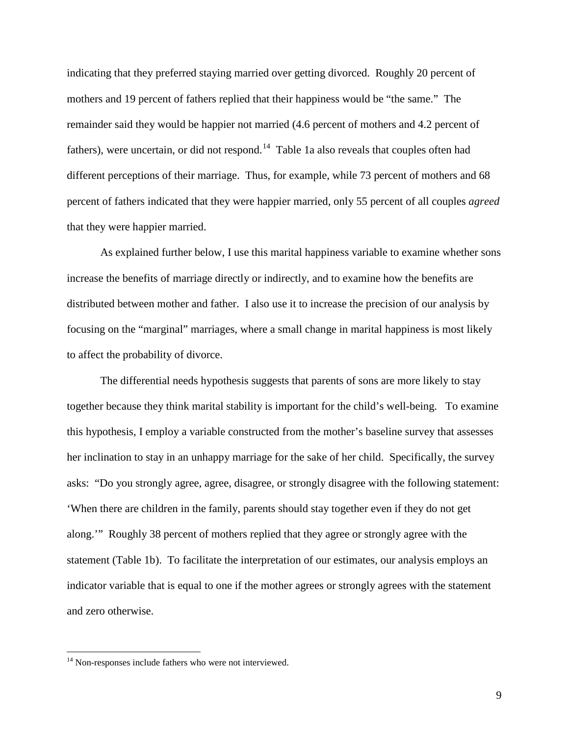indicating that they preferred staying married over getting divorced. Roughly 20 percent of mothers and 19 percent of fathers replied that their happiness would be "the same." The remainder said they would be happier not married (4.6 percent of mothers and 4.2 percent of fathers), were uncertain, or did not respond.<sup>[14](#page-9-0)</sup> Table 1a also reveals that couples often had different perceptions of their marriage. Thus, for example, while 73 percent of mothers and 68 percent of fathers indicated that they were happier married, only 55 percent of all couples *agreed* that they were happier married.

As explained further below, I use this marital happiness variable to examine whether sons increase the benefits of marriage directly or indirectly, and to examine how the benefits are distributed between mother and father. I also use it to increase the precision of our analysis by focusing on the "marginal" marriages, where a small change in marital happiness is most likely to affect the probability of divorce.

The differential needs hypothesis suggests that parents of sons are more likely to stay together because they think marital stability is important for the child's well-being. To examine this hypothesis, I employ a variable constructed from the mother's baseline survey that assesses her inclination to stay in an unhappy marriage for the sake of her child. Specifically, the survey asks: "Do you strongly agree, agree, disagree, or strongly disagree with the following statement: 'When there are children in the family, parents should stay together even if they do not get along.'" Roughly 38 percent of mothers replied that they agree or strongly agree with the statement (Table 1b). To facilitate the interpretation of our estimates, our analysis employs an indicator variable that is equal to one if the mother agrees or strongly agrees with the statement and zero otherwise.

<span id="page-9-0"></span><sup>&</sup>lt;sup>14</sup> Non-responses include fathers who were not interviewed.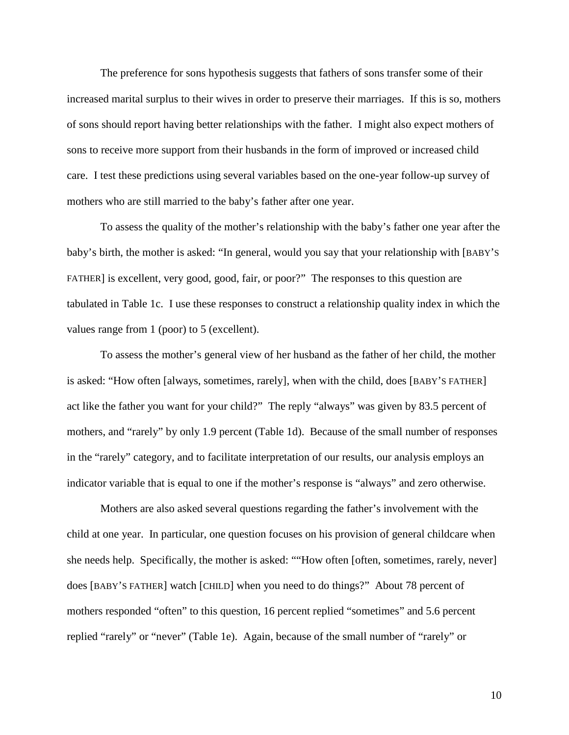The preference for sons hypothesis suggests that fathers of sons transfer some of their increased marital surplus to their wives in order to preserve their marriages. If this is so, mothers of sons should report having better relationships with the father. I might also expect mothers of sons to receive more support from their husbands in the form of improved or increased child care. I test these predictions using several variables based on the one-year follow-up survey of mothers who are still married to the baby's father after one year.

To assess the quality of the mother's relationship with the baby's father one year after the baby's birth, the mother is asked: "In general, would you say that your relationship with [BABY'S FATHER] is excellent, very good, good, fair, or poor?" The responses to this question are tabulated in Table 1c. I use these responses to construct a relationship quality index in which the values range from 1 (poor) to 5 (excellent).

To assess the mother's general view of her husband as the father of her child, the mother is asked: "How often [always, sometimes, rarely], when with the child, does [BABY'S FATHER] act like the father you want for your child?" The reply "always" was given by 83.5 percent of mothers, and "rarely" by only 1.9 percent (Table 1d). Because of the small number of responses in the "rarely" category, and to facilitate interpretation of our results, our analysis employs an indicator variable that is equal to one if the mother's response is "always" and zero otherwise.

Mothers are also asked several questions regarding the father's involvement with the child at one year. In particular, one question focuses on his provision of general childcare when she needs help. Specifically, the mother is asked: ""How often [often, sometimes, rarely, never] does [BABY'S FATHER] watch [CHILD] when you need to do things?" About 78 percent of mothers responded "often" to this question, 16 percent replied "sometimes" and 5.6 percent replied "rarely" or "never" (Table 1e). Again, because of the small number of "rarely" or

10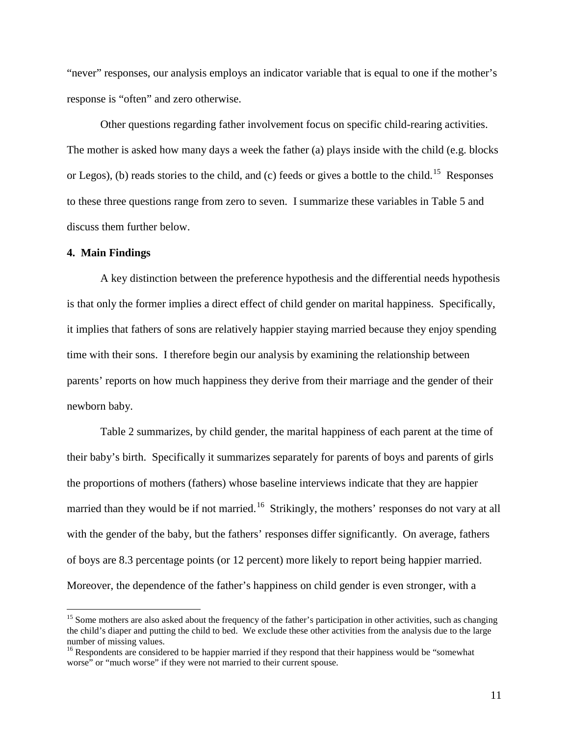"never" responses, our analysis employs an indicator variable that is equal to one if the mother's response is "often" and zero otherwise.

Other questions regarding father involvement focus on specific child-rearing activities. The mother is asked how many days a week the father (a) plays inside with the child (e.g. blocks or Legos), (b) reads stories to the child, and (c) feeds or gives a bottle to the child.<sup>[15](#page-11-0)</sup> Responses to these three questions range from zero to seven. I summarize these variables in Table 5 and discuss them further below.

### **4. Main Findings**

A key distinction between the preference hypothesis and the differential needs hypothesis is that only the former implies a direct effect of child gender on marital happiness. Specifically, it implies that fathers of sons are relatively happier staying married because they enjoy spending time with their sons. I therefore begin our analysis by examining the relationship between parents' reports on how much happiness they derive from their marriage and the gender of their newborn baby.

Table 2 summarizes, by child gender, the marital happiness of each parent at the time of their baby's birth. Specifically it summarizes separately for parents of boys and parents of girls the proportions of mothers (fathers) whose baseline interviews indicate that they are happier married than they would be if not married.<sup>[16](#page-11-1)</sup> Strikingly, the mothers' responses do not vary at all with the gender of the baby, but the fathers' responses differ significantly. On average, fathers of boys are 8.3 percentage points (or 12 percent) more likely to report being happier married. Moreover, the dependence of the father's happiness on child gender is even stronger, with a

<span id="page-11-0"></span><sup>&</sup>lt;sup>15</sup> Some mothers are also asked about the frequency of the father's participation in other activities, such as changing the child's diaper and putting the child to bed. We exclude these other activities from the analysis due to the large number of missing values.

<span id="page-11-1"></span><sup>&</sup>lt;sup>16</sup> Respondents are considered to be happier married if they respond that their happiness would be "somewhat worse" or "much worse" if they were not married to their current spouse.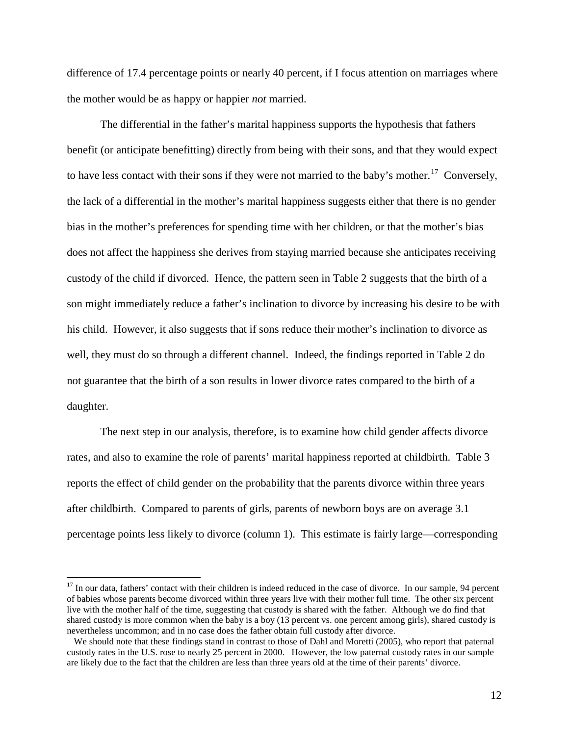difference of 17.4 percentage points or nearly 40 percent, if I focus attention on marriages where the mother would be as happy or happier *not* married.

The differential in the father's marital happiness supports the hypothesis that fathers benefit (or anticipate benefitting) directly from being with their sons, and that they would expect to have less contact with their sons if they were not married to the baby's mother.<sup>17</sup> Conversely, the lack of a differential in the mother's marital happiness suggests either that there is no gender bias in the mother's preferences for spending time with her children, or that the mother's bias does not affect the happiness she derives from staying married because she anticipates receiving custody of the child if divorced. Hence, the pattern seen in Table 2 suggests that the birth of a son might immediately reduce a father's inclination to divorce by increasing his desire to be with his child. However, it also suggests that if sons reduce their mother's inclination to divorce as well, they must do so through a different channel. Indeed, the findings reported in Table 2 do not guarantee that the birth of a son results in lower divorce rates compared to the birth of a daughter.

The next step in our analysis, therefore, is to examine how child gender affects divorce rates, and also to examine the role of parents' marital happiness reported at childbirth. Table 3 reports the effect of child gender on the probability that the parents divorce within three years after childbirth. Compared to parents of girls, parents of newborn boys are on average 3.1 percentage points less likely to divorce (column 1). This estimate is fairly large—corresponding

<span id="page-12-0"></span> $17$  In our data, fathers' contact with their children is indeed reduced in the case of divorce. In our sample, 94 percent of babies whose parents become divorced within three years live with their mother full time. The other six percent live with the mother half of the time, suggesting that custody is shared with the father. Although we do find that shared custody is more common when the baby is a boy (13 percent vs. one percent among girls), shared custody is nevertheless uncommon; and in no case does the father obtain full custody after divorce.

We should note that these findings stand in contrast to those of Dahl and Moretti (2005), who report that paternal custody rates in the U.S. rose to nearly 25 percent in 2000. However, the low paternal custody rates in our sample are likely due to the fact that the children are less than three years old at the time of their parents' divorce.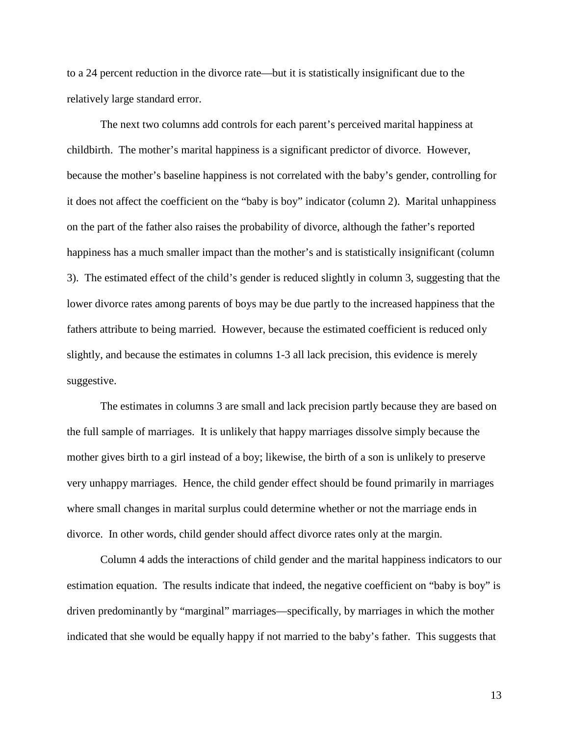to a 24 percent reduction in the divorce rate—but it is statistically insignificant due to the relatively large standard error.

The next two columns add controls for each parent's perceived marital happiness at childbirth. The mother's marital happiness is a significant predictor of divorce. However, because the mother's baseline happiness is not correlated with the baby's gender, controlling for it does not affect the coefficient on the "baby is boy" indicator (column 2). Marital unhappiness on the part of the father also raises the probability of divorce, although the father's reported happiness has a much smaller impact than the mother's and is statistically insignificant (column 3). The estimated effect of the child's gender is reduced slightly in column 3, suggesting that the lower divorce rates among parents of boys may be due partly to the increased happiness that the fathers attribute to being married. However, because the estimated coefficient is reduced only slightly, and because the estimates in columns 1-3 all lack precision, this evidence is merely suggestive.

The estimates in columns 3 are small and lack precision partly because they are based on the full sample of marriages. It is unlikely that happy marriages dissolve simply because the mother gives birth to a girl instead of a boy; likewise, the birth of a son is unlikely to preserve very unhappy marriages. Hence, the child gender effect should be found primarily in marriages where small changes in marital surplus could determine whether or not the marriage ends in divorce. In other words, child gender should affect divorce rates only at the margin.

Column 4 adds the interactions of child gender and the marital happiness indicators to our estimation equation. The results indicate that indeed, the negative coefficient on "baby is boy" is driven predominantly by "marginal" marriages—specifically, by marriages in which the mother indicated that she would be equally happy if not married to the baby's father. This suggests that

13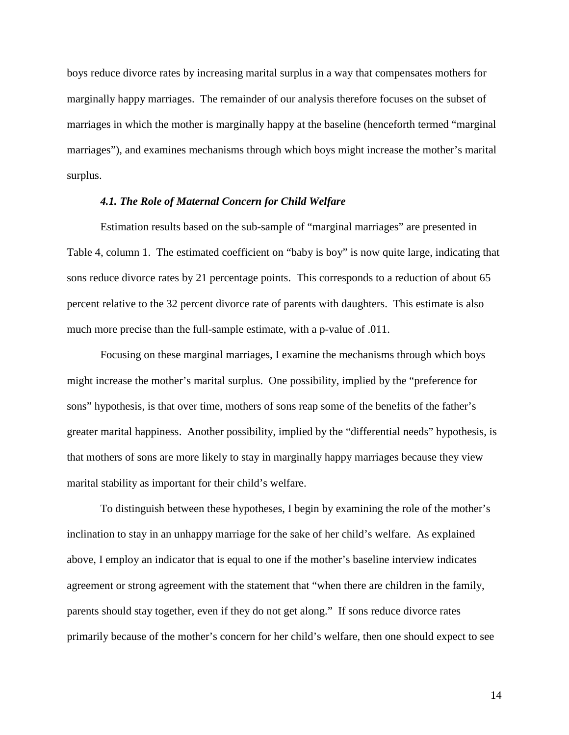boys reduce divorce rates by increasing marital surplus in a way that compensates mothers for marginally happy marriages. The remainder of our analysis therefore focuses on the subset of marriages in which the mother is marginally happy at the baseline (henceforth termed "marginal marriages"), and examines mechanisms through which boys might increase the mother's marital surplus.

# *4.1. The Role of Maternal Concern for Child Welfare*

Estimation results based on the sub-sample of "marginal marriages" are presented in Table 4, column 1. The estimated coefficient on "baby is boy" is now quite large, indicating that sons reduce divorce rates by 21 percentage points. This corresponds to a reduction of about 65 percent relative to the 32 percent divorce rate of parents with daughters. This estimate is also much more precise than the full-sample estimate, with a p-value of .011.

Focusing on these marginal marriages, I examine the mechanisms through which boys might increase the mother's marital surplus. One possibility, implied by the "preference for sons" hypothesis, is that over time, mothers of sons reap some of the benefits of the father's greater marital happiness. Another possibility, implied by the "differential needs" hypothesis, is that mothers of sons are more likely to stay in marginally happy marriages because they view marital stability as important for their child's welfare.

To distinguish between these hypotheses, I begin by examining the role of the mother's inclination to stay in an unhappy marriage for the sake of her child's welfare. As explained above, I employ an indicator that is equal to one if the mother's baseline interview indicates agreement or strong agreement with the statement that "when there are children in the family, parents should stay together, even if they do not get along." If sons reduce divorce rates primarily because of the mother's concern for her child's welfare, then one should expect to see

14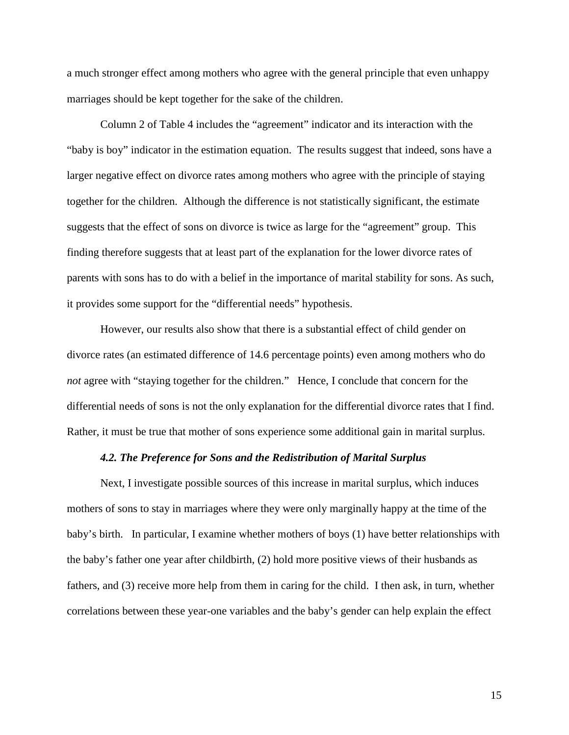a much stronger effect among mothers who agree with the general principle that even unhappy marriages should be kept together for the sake of the children.

Column 2 of Table 4 includes the "agreement" indicator and its interaction with the "baby is boy" indicator in the estimation equation. The results suggest that indeed, sons have a larger negative effect on divorce rates among mothers who agree with the principle of staying together for the children. Although the difference is not statistically significant, the estimate suggests that the effect of sons on divorce is twice as large for the "agreement" group. This finding therefore suggests that at least part of the explanation for the lower divorce rates of parents with sons has to do with a belief in the importance of marital stability for sons. As such, it provides some support for the "differential needs" hypothesis.

However, our results also show that there is a substantial effect of child gender on divorce rates (an estimated difference of 14.6 percentage points) even among mothers who do *not* agree with "staying together for the children." Hence, I conclude that concern for the differential needs of sons is not the only explanation for the differential divorce rates that I find. Rather, it must be true that mother of sons experience some additional gain in marital surplus.

#### *4.2. The Preference for Sons and the Redistribution of Marital Surplus*

Next, I investigate possible sources of this increase in marital surplus, which induces mothers of sons to stay in marriages where they were only marginally happy at the time of the baby's birth. In particular, I examine whether mothers of boys (1) have better relationships with the baby's father one year after childbirth, (2) hold more positive views of their husbands as fathers, and (3) receive more help from them in caring for the child. I then ask, in turn, whether correlations between these year-one variables and the baby's gender can help explain the effect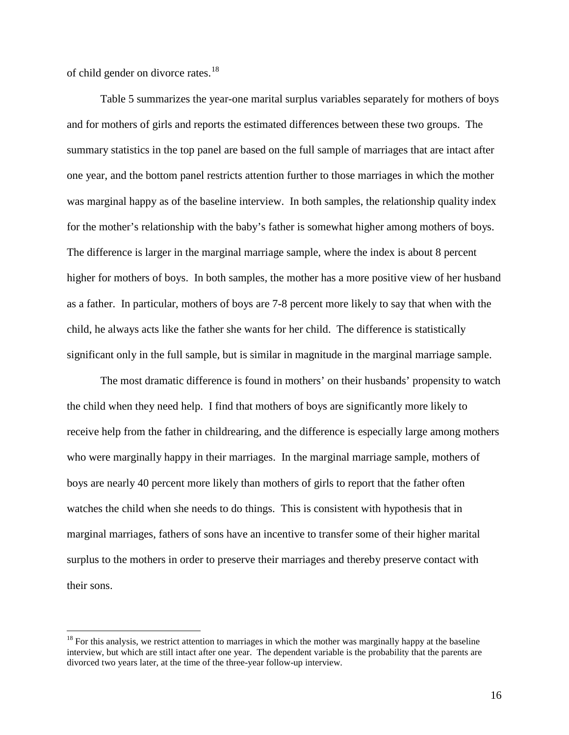of child gender on divorce rates.<sup>18</sup>

Table 5 summarizes the year-one marital surplus variables separately for mothers of boys and for mothers of girls and reports the estimated differences between these two groups. The summary statistics in the top panel are based on the full sample of marriages that are intact after one year, and the bottom panel restricts attention further to those marriages in which the mother was marginal happy as of the baseline interview. In both samples, the relationship quality index for the mother's relationship with the baby's father is somewhat higher among mothers of boys. The difference is larger in the marginal marriage sample, where the index is about 8 percent higher for mothers of boys. In both samples, the mother has a more positive view of her husband as a father. In particular, mothers of boys are 7-8 percent more likely to say that when with the child, he always acts like the father she wants for her child. The difference is statistically significant only in the full sample, but is similar in magnitude in the marginal marriage sample.

The most dramatic difference is found in mothers' on their husbands' propensity to watch the child when they need help. I find that mothers of boys are significantly more likely to receive help from the father in childrearing, and the difference is especially large among mothers who were marginally happy in their marriages. In the marginal marriage sample, mothers of boys are nearly 40 percent more likely than mothers of girls to report that the father often watches the child when she needs to do things. This is consistent with hypothesis that in marginal marriages, fathers of sons have an incentive to transfer some of their higher marital surplus to the mothers in order to preserve their marriages and thereby preserve contact with their sons.

<span id="page-16-0"></span> $18$  For this analysis, we restrict attention to marriages in which the mother was marginally happy at the baseline interview, but which are still intact after one year. The dependent variable is the probability that the parents are divorced two years later, at the time of the three-year follow-up interview.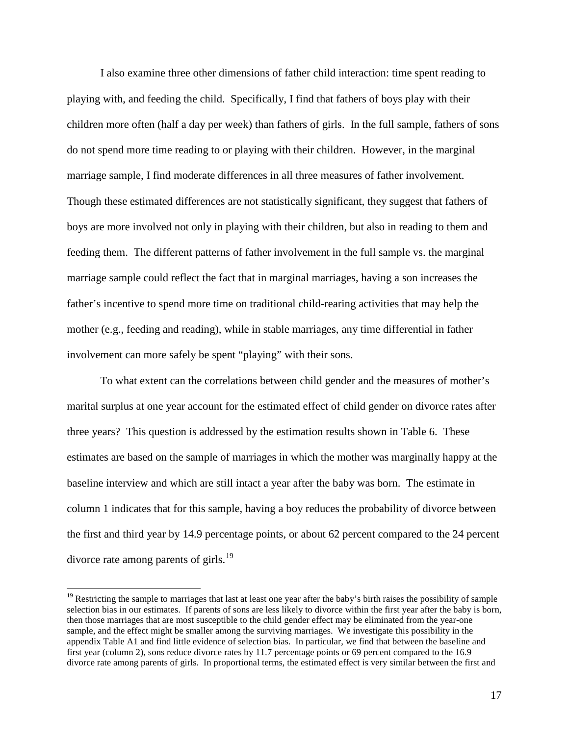I also examine three other dimensions of father child interaction: time spent reading to playing with, and feeding the child. Specifically, I find that fathers of boys play with their children more often (half a day per week) than fathers of girls. In the full sample, fathers of sons do not spend more time reading to or playing with their children. However, in the marginal marriage sample, I find moderate differences in all three measures of father involvement. Though these estimated differences are not statistically significant, they suggest that fathers of boys are more involved not only in playing with their children, but also in reading to them and feeding them. The different patterns of father involvement in the full sample vs. the marginal marriage sample could reflect the fact that in marginal marriages, having a son increases the father's incentive to spend more time on traditional child-rearing activities that may help the mother (e.g., feeding and reading), while in stable marriages, any time differential in father involvement can more safely be spent "playing" with their sons.

To what extent can the correlations between child gender and the measures of mother's marital surplus at one year account for the estimated effect of child gender on divorce rates after three years? This question is addressed by the estimation results shown in Table 6. These estimates are based on the sample of marriages in which the mother was marginally happy at the baseline interview and which are still intact a year after the baby was born. The estimate in column 1 indicates that for this sample, having a boy reduces the probability of divorce between the first and third year by 14.9 percentage points, or about 62 percent compared to the 24 percent divorce rate among parents of girls.<sup>[19](#page-17-0)</sup>

<span id="page-17-0"></span><sup>&</sup>lt;sup>19</sup> Restricting the sample to marriages that last at least one year after the baby's birth raises the possibility of sample selection bias in our estimates. If parents of sons are less likely to divorce within the first year after the baby is born, then those marriages that are most susceptible to the child gender effect may be eliminated from the year-one sample, and the effect might be smaller among the surviving marriages. We investigate this possibility in the appendix Table A1 and find little evidence of selection bias. In particular, we find that between the baseline and first year (column 2), sons reduce divorce rates by 11.7 percentage points or 69 percent compared to the 16.9 divorce rate among parents of girls. In proportional terms, the estimated effect is very similar between the first and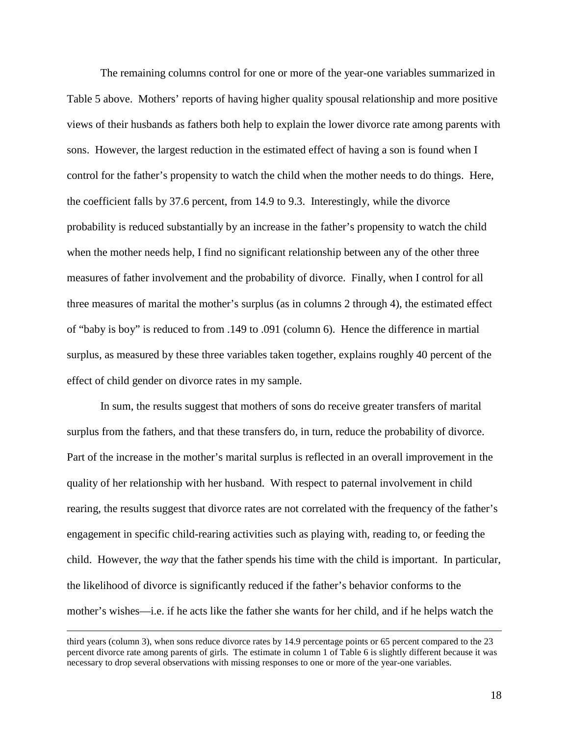The remaining columns control for one or more of the year-one variables summarized in Table 5 above. Mothers' reports of having higher quality spousal relationship and more positive views of their husbands as fathers both help to explain the lower divorce rate among parents with sons. However, the largest reduction in the estimated effect of having a son is found when I control for the father's propensity to watch the child when the mother needs to do things. Here, the coefficient falls by 37.6 percent, from 14.9 to 9.3. Interestingly, while the divorce probability is reduced substantially by an increase in the father's propensity to watch the child when the mother needs help, I find no significant relationship between any of the other three measures of father involvement and the probability of divorce. Finally, when I control for all three measures of marital the mother's surplus (as in columns 2 through 4), the estimated effect of "baby is boy" is reduced to from .149 to .091 (column 6). Hence the difference in martial surplus, as measured by these three variables taken together, explains roughly 40 percent of the effect of child gender on divorce rates in my sample.

In sum, the results suggest that mothers of sons do receive greater transfers of marital surplus from the fathers, and that these transfers do, in turn, reduce the probability of divorce. Part of the increase in the mother's marital surplus is reflected in an overall improvement in the quality of her relationship with her husband. With respect to paternal involvement in child rearing, the results suggest that divorce rates are not correlated with the frequency of the father's engagement in specific child-rearing activities such as playing with, reading to, or feeding the child. However, the *way* that the father spends his time with the child is important. In particular, the likelihood of divorce is significantly reduced if the father's behavior conforms to the mother's wishes—i.e. if he acts like the father she wants for her child, and if he helps watch the

third years (column 3), when sons reduce divorce rates by 14.9 percentage points or 65 percent compared to the 23 percent divorce rate among parents of girls. The estimate in column 1 of Table 6 is slightly different because it was necessary to drop several observations with missing responses to one or more of the year-one variables.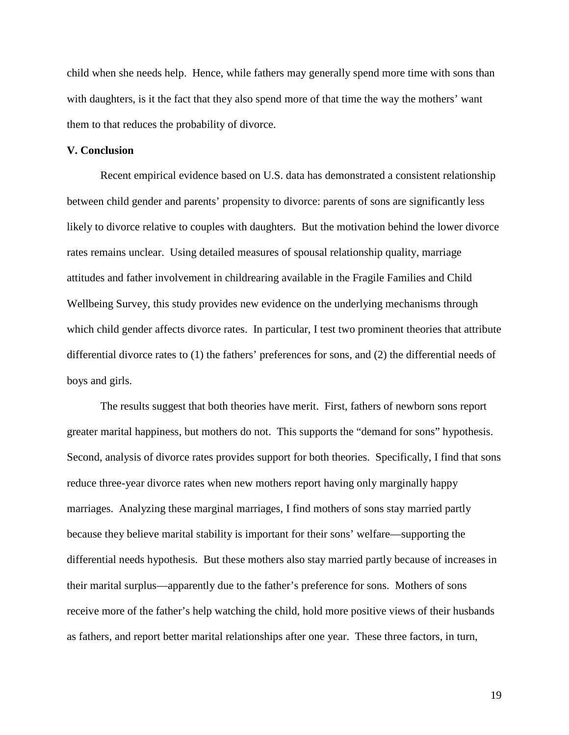child when she needs help. Hence, while fathers may generally spend more time with sons than with daughters, is it the fact that they also spend more of that time the way the mothers' want them to that reduces the probability of divorce.

# **V. Conclusion**

Recent empirical evidence based on U.S. data has demonstrated a consistent relationship between child gender and parents' propensity to divorce: parents of sons are significantly less likely to divorce relative to couples with daughters. But the motivation behind the lower divorce rates remains unclear. Using detailed measures of spousal relationship quality, marriage attitudes and father involvement in childrearing available in the Fragile Families and Child Wellbeing Survey, this study provides new evidence on the underlying mechanisms through which child gender affects divorce rates. In particular, I test two prominent theories that attribute differential divorce rates to (1) the fathers' preferences for sons, and (2) the differential needs of boys and girls.

The results suggest that both theories have merit. First, fathers of newborn sons report greater marital happiness, but mothers do not. This supports the "demand for sons" hypothesis. Second, analysis of divorce rates provides support for both theories. Specifically, I find that sons reduce three-year divorce rates when new mothers report having only marginally happy marriages. Analyzing these marginal marriages, I find mothers of sons stay married partly because they believe marital stability is important for their sons' welfare—supporting the differential needs hypothesis. But these mothers also stay married partly because of increases in their marital surplus—apparently due to the father's preference for sons. Mothers of sons receive more of the father's help watching the child, hold more positive views of their husbands as fathers, and report better marital relationships after one year. These three factors, in turn,

19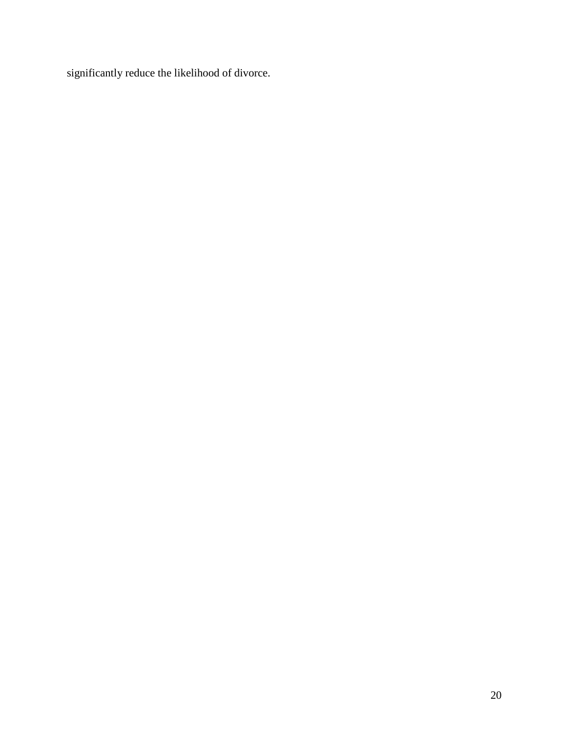significantly reduce the likelihood of divorce.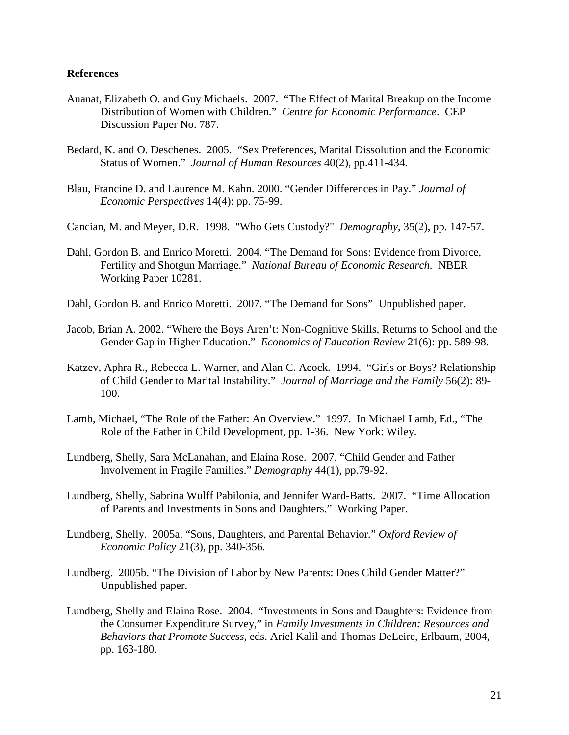### **References**

- Ananat, Elizabeth O. and Guy Michaels. 2007. "The Effect of Marital Breakup on the Income Distribution of Women with Children." *Centre for Economic Performance*. CEP Discussion Paper No. 787.
- Bedard, K. and O. Deschenes. 2005. "Sex Preferences, Marital Dissolution and the Economic Status of Women." *Journal of Human Resources* 40(2), pp.411-434.
- Blau, Francine D. and Laurence M. Kahn. 2000. "Gender Differences in Pay." *Journal of Economic Perspectives* 14(4): pp. 75-99.
- Cancian, M. and Meyer, D.R. 1998. "Who Gets Custody?" *Demography*, 35(2), pp. 147-57.
- Dahl, Gordon B. and Enrico Moretti. 2004. "The Demand for Sons: Evidence from Divorce, Fertility and Shotgun Marriage." *National Bureau of Economic Research*. NBER Working Paper 10281.
- Dahl, Gordon B. and Enrico Moretti. 2007. "The Demand for Sons" Unpublished paper.
- Jacob, Brian A. 2002. "Where the Boys Aren't: Non-Cognitive Skills, Returns to School and the Gender Gap in Higher Education." *Economics of Education Review* 21(6): pp. 589-98.
- Katzev, Aphra R., Rebecca L. Warner, and Alan C. Acock. 1994. "Girls or Boys? Relationship of Child Gender to Marital Instability." *Journal of Marriage and the Family* 56(2): 89- 100.
- Lamb, Michael, "The Role of the Father: An Overview." 1997. In Michael Lamb, Ed., "The Role of the Father in Child Development, pp. 1-36. New York: Wiley.
- Lundberg, Shelly, Sara McLanahan, and Elaina Rose. 2007. "Child Gender and Father Involvement in Fragile Families." *Demography* 44(1), pp.79-92.
- Lundberg, Shelly, Sabrina Wulff Pabilonia, and Jennifer Ward-Batts. 2007. "Time Allocation of Parents and Investments in Sons and Daughters." Working Paper.
- Lundberg, Shelly. 2005a. "Sons, Daughters, and Parental Behavior." *Oxford Review of Economic Policy* 21(3), pp. 340-356.
- Lundberg. 2005b. "The Division of Labor by New Parents: Does Child Gender Matter?" Unpublished paper.
- Lundberg, Shelly and Elaina Rose. 2004. "Investments in Sons and Daughters: Evidence from the Consumer Expenditure Survey," in *Family Investments in Children: Resources and Behaviors that Promote Success*, eds. Ariel Kalil and Thomas DeLeire, Erlbaum, 2004, pp. 163-180.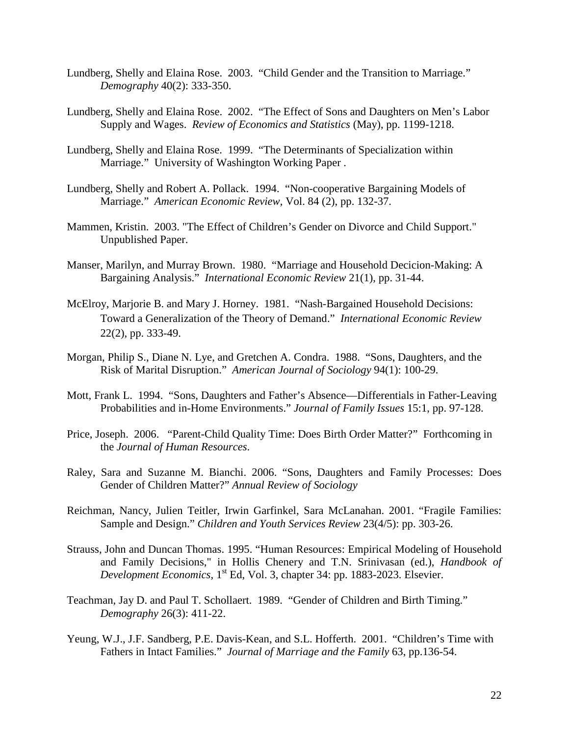- Lundberg, Shelly and Elaina Rose. 2003. "Child Gender and the Transition to Marriage." *Demography* 40(2): 333-350.
- Lundberg, Shelly and Elaina Rose. 2002. "The Effect of Sons and Daughters on Men's Labor Supply and Wages. *Review of Economics and Statistics* (May), pp. 1199-1218.
- Lundberg, Shelly and Elaina Rose. 1999. "The Determinants of Specialization within Marriage." University of Washington Working Paper .
- Lundberg, Shelly and Robert A. Pollack. 1994. "Non-cooperative Bargaining Models of Marriage." *American Economic Review,* Vol. 84 (2), pp. 132-37.
- Mammen, Kristin. 2003. ["The Effect of Children's Gender on Divorce and Child Support."](http://www.columbia.edu/~kmm13/Mammen_Divorce_CS_6_03.pdf) Unpublished Paper.
- Manser, Marilyn, and Murray Brown. 1980. "Marriage and Household Decicion-Making: A Bargaining Analysis." *International Economic Review* 21(1), pp. 31-44.
- McElroy, Marjorie B. and Mary J. Horney. 1981. "Nash-Bargained Household Decisions: Toward a Generalization of the Theory of Demand." *International Economic Review* 22(2), pp. 333-49.
- Morgan, Philip S., Diane N. Lye, and Gretchen A. Condra. 1988. "Sons, Daughters, and the Risk of Marital Disruption." *American Journal of Sociology* 94(1): 100-29.
- Mott, Frank L. 1994. "Sons, Daughters and Father's Absence—Differentials in Father-Leaving Probabilities and in-Home Environments." *Journal of Family Issues* 15:1, pp. 97-128.
- Price, Joseph. 2006. "Parent-Child Quality Time: Does Birth Order Matter?" Forthcoming in the *Journal of Human Resources*.
- Raley, Sara and Suzanne M. Bianchi. 2006. "Sons, Daughters and Family Processes: Does Gender of Children Matter?" *Annual Review of Sociology*
- Reichman, Nancy, Julien Teitler, Irwin Garfinkel, Sara McLanahan. 2001. "Fragile Families: Sample and Design." *Children and Youth Services Review* 23(4/5): pp. 303-26.
- Strauss, John and Duncan Thomas. 1995. "Human Resources: Empirical Modeling of Household and Family Decisions," in Hollis Chenery and T.N. Srinivasan (ed.), *Handbook of Development Economics,* 1<sup>st</sup> Ed, Vol. 3, chapter 34: pp. 1883-2023. Elsevier.
- Teachman, Jay D. and Paul T. Schollaert. 1989. "Gender of Children and Birth Timing." *Demography* 26(3): 411-22.
- Yeung, W.J., J.F. Sandberg, P.E. Davis-Kean, and S.L. Hofferth. 2001. "Children's Time with Fathers in Intact Families." *Journal of Marriage and the Family* 63, pp.136-54.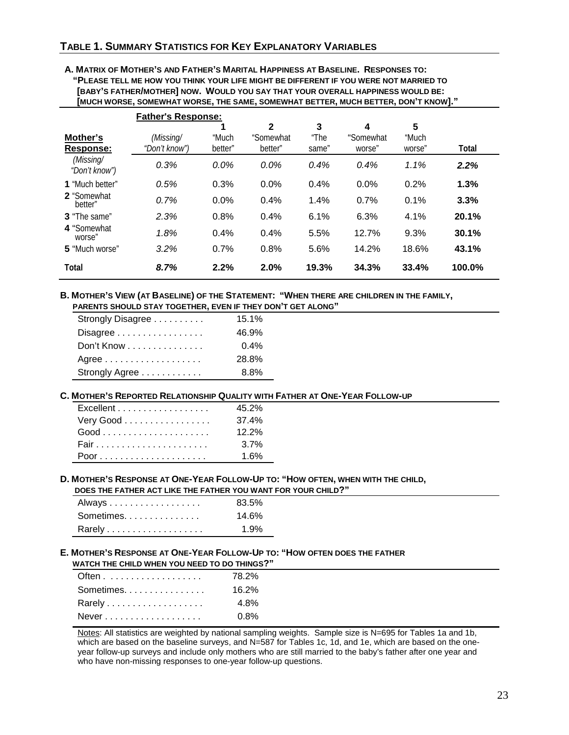# **TABLE 1. SUMMARY STATISTICS FOR KEY EXPLANATORY VARIABLES**

**A. MATRIX OF MOTHER'S AND FATHER'S MARITAL HAPPINESS AT BASELINE. RESPONSES TO: "PLEASE TELL ME HOW YOU THINK YOUR LIFE MIGHT BE DIFFERENT IF YOU WERE NOT MARRIED TO [BABY'S FATHER/MOTHER] NOW. WOULD YOU SAY THAT YOUR OVERALL HAPPINESS WOULD BE: [MUCH WORSE, SOMEWHAT WORSE, THE SAME, SOMEWHAT BETTER, MUCH BETTER, DON'T KNOW]."**

|                            | <b>Father's Response:</b> |         |              |       |           |        |        |
|----------------------------|---------------------------|---------|--------------|-------|-----------|--------|--------|
|                            |                           |         | $\mathbf{2}$ | 3     | 4         | 5      |        |
| Mother's                   | (Missing/                 | "Much   | "Somewhat    | "The  | "Somewhat | "Much  |        |
| Response:                  | "Don't know")             | better" | better"      | same" | worse"    | worse" | Total  |
| (Missing/<br>"Don't know") | 0.3%                      | $0.0\%$ | $0.0\%$      | 0.4%  | 0.4%      | 1.1%   | 2.2%   |
| 1 "Much better"            | 0.5%                      | 0.3%    | 0.0%         | 0.4%  | 0.0%      | 0.2%   | 1.3%   |
| 2 "Somewhat<br>better"     | 0.7%                      | 0.0%    | 0.4%         | 1.4%  | 0.7%      | 0.1%   | 3.3%   |
| <b>3</b> "The same"        | 2.3%                      | 0.8%    | 0.4%         | 6.1%  | 6.3%      | 4.1%   | 20.1%  |
| 4 "Somewhat<br>worse"      | 1.8%                      | 0.4%    | 0.4%         | 5.5%  | 12.7%     | 9.3%   | 30.1%  |
| 5 "Much worse"             | 3.2%                      | 0.7%    | 0.8%         | 5.6%  | 14.2%     | 18.6%  | 43.1%  |
| Total                      | 8.7%                      | 2.2%    | 2.0%         | 19.3% | 34.3%     | 33.4%  | 100.0% |

#### **B. MOTHER'S VIEW (AT BASELINE) OF THE STATEMENT: "WHEN THERE ARE CHILDREN IN THE FAMILY, PARENTS SHOULD STAY TOGETHER, EVEN IF THEY DON'T GET ALONG"**

| Strongly Disagree | 15.1%   |
|-------------------|---------|
| Disagree          | 46.9%   |
| Don't Know        | $0.4\%$ |
| Agree             | 28.8%   |
| Strongly Agree    | 8.8%    |

#### **C. MOTHER'S REPORTED RELATIONSHIP QUALITY WITH FATHER AT ONE-YEAR FOLLOW-UP**

| Excellent | 45.2%    |
|-----------|----------|
| Very Good | 37.4%    |
| $Good$    | $12.2\%$ |
|           | $3.7\%$  |
|           | 1 6%     |

#### **D. MOTHER'S RESPONSE AT ONE-YEAR FOLLOW-UP TO: "HOW OFTEN, WHEN WITH THE CHILD, DOES THE FATHER ACT LIKE THE FATHER YOU WANT FOR YOUR CHILD?"**

| Always    | 83.5%   |
|-----------|---------|
| Sometimes | 14.6%   |
|           | $1.9\%$ |

#### **E. MOTHER'S RESPONSE AT ONE-YEAR FOLLOW-UP TO: "HOW OFTEN DOES THE FATHER WATCH THE CHILD WHEN YOU NEED TO DO THINGS?"**

| 78.2%   |
|---------|
| 16.2%   |
| 4.8%    |
| $0.8\%$ |
|         |

Notes: All statistics are weighted by national sampling weights. Sample size is N=695 for Tables 1a and 1b, which are based on the baseline surveys, and N=587 for Tables 1c, 1d, and 1e, which are based on the oneyear follow-up surveys and include only mothers who are still married to the baby's father after one year and who have non-missing responses to one-year follow-up questions.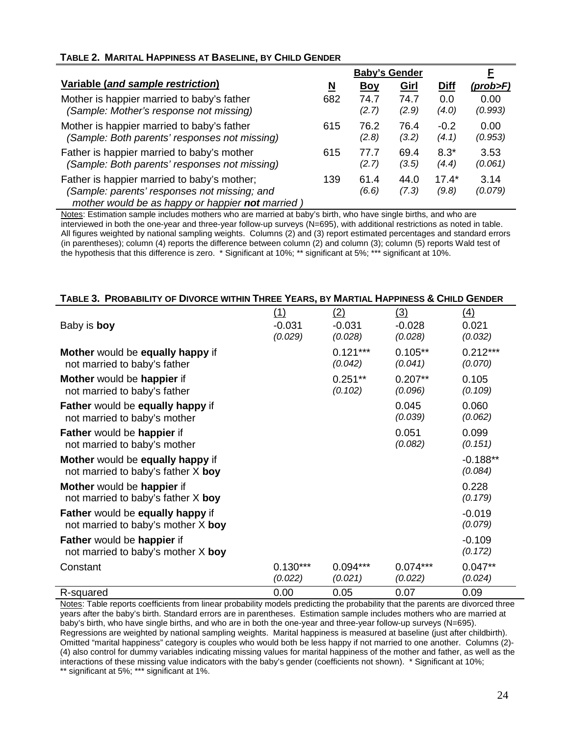# **TABLE 2. MARITAL HAPPINESS AT BASELINE, BY CHILD GENDER**

|                                                                                                                                                 | <b>Baby's Gender</b> |               |               | F                |                 |
|-------------------------------------------------------------------------------------------------------------------------------------------------|----------------------|---------------|---------------|------------------|-----------------|
| Variable (and sample restriction)                                                                                                               | N                    | <u>Boy</u>    | Girl          | <b>Diff</b>      | $(prob$ >F)     |
| Mother is happier married to baby's father                                                                                                      | 682                  | 74.7          | 74.7          | 0.0              | 0.00            |
| (Sample: Mother's response not missing)                                                                                                         |                      | (2.7)         | (2.9)         | (4.0)            | (0.993)         |
| Mother is happier married to baby's father                                                                                                      | 615                  | 76.2          | 76.4          | $-0.2$           | 0.00            |
| (Sample: Both parents' responses not missing)                                                                                                   |                      | (2.8)         | (3.2)         | (4.1)            | (0.953)         |
| Father is happier married to baby's mother                                                                                                      | 615                  | 77.7          | 69.4          | $8.3*$           | 3.53            |
| (Sample: Both parents' responses not missing)                                                                                                   |                      | (2.7)         | (3.5)         | (4.4)            | (0.061)         |
| Father is happier married to baby's mother;<br>(Sample: parents' responses not missing; and<br>mother would be as happy or happier not married) | 139                  | 61.4<br>(6.6) | 44.0<br>(7.3) | $17.4*$<br>(9.8) | 3.14<br>(0.079) |

Notes: Estimation sample includes mothers who are married at baby's birth, who have single births, and who are interviewed in both the one-year and three-year follow-up surveys (N=695), with additional restrictions as noted in table. All figures weighted by national sampling weights. Columns (2) and (3) report estimated percentages and standard errors (in parentheses); column (4) reports the difference between column (2) and column (3); column (5) reports Wald test of the hypothesis that this difference is zero. \* Significant at 10%; \*\* significant at 5%; \*\*\* significant at 10%.

| TABLE 3. PROBABILITY OF DIVORCE WITHIN THREE YEARS, BY MARTIAL HAPPINESS & CHILD GENDER |                                   |                            |                            |                         |  |  |
|-----------------------------------------------------------------------------------------|-----------------------------------|----------------------------|----------------------------|-------------------------|--|--|
| Baby is boy                                                                             | <u>(1)</u><br>$-0.031$<br>(0.029) | (2)<br>$-0.031$<br>(0.028) | (3)<br>$-0.028$<br>(0.028) | (4)<br>0.021<br>(0.032) |  |  |
| Mother would be equally happy if<br>not married to baby's father                        |                                   | $0.121***$<br>(0.042)      | $0.105**$<br>(0.041)       | $0.212***$<br>(0.070)   |  |  |
| Mother would be happier if<br>not married to baby's father                              |                                   | $0.251***$<br>(0.102)      | $0.207**$<br>(0.096)       | 0.105<br>(0.109)        |  |  |
| Father would be equally happy if<br>not married to baby's mother                        |                                   |                            | 0.045<br>(0.039)           | 0.060<br>(0.062)        |  |  |
| Father would be happier if<br>not married to baby's mother                              |                                   |                            | 0.051<br>(0.082)           | 0.099<br>(0.151)        |  |  |
| Mother would be equally happy if<br>not married to baby's father X boy                  |                                   |                            |                            | $-0.188**$<br>(0.084)   |  |  |
| Mother would be happier if<br>not married to baby's father $X$ boy                      |                                   |                            |                            | 0.228<br>(0.179)        |  |  |
| Father would be equally happy if<br>not married to baby's mother $X$ boy                |                                   |                            |                            | $-0.019$<br>(0.079)     |  |  |
| Father would be happier if<br>not married to baby's mother $X$ boy                      |                                   |                            |                            | $-0.109$<br>(0.172)     |  |  |
| Constant                                                                                | $0.130***$<br>(0.022)             | $0.094***$<br>(0.021)      | $0.074***$<br>(0.022)      | $0.047**$<br>(0.024)    |  |  |
| R-squared                                                                               | 0.00                              | 0.05                       | 0.07                       | 0.09                    |  |  |

Notes: Table reports coefficients from linear probability models predicting the probability that the parents are divorced three years after the baby's birth. Standard errors are in parentheses. Estimation sample includes mothers who are married at baby's birth, who have single births, and who are in both the one-year and three-year follow-up surveys (N=695). Regressions are weighted by national sampling weights. Marital happiness is measured at baseline (just after childbirth). Omitted "marital happiness" category is couples who would both be less happy if not married to one another. Columns (2)- (4) also control for dummy variables indicating missing values for marital happiness of the mother and father, as well as the interactions of these missing value indicators with the baby's gender (coefficients not shown). \* Significant at 10%; \*\* significant at 5%; \*\*\* significant at 1%.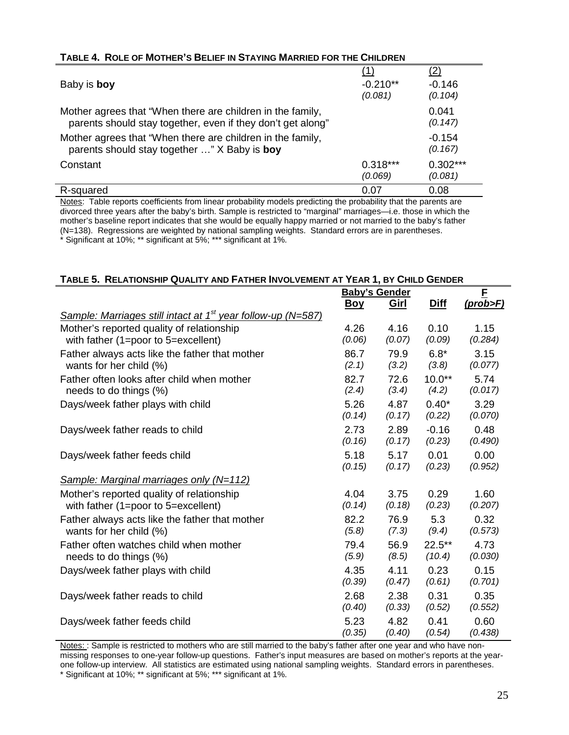| TABLE 4. ROLE OF MOTHER'S BELIEF IN STAYING MARRIED FOR THE CHILDREN |  |
|----------------------------------------------------------------------|--|
|                                                                      |  |

| Baby is boy                                                                                                               | (1)<br>$-0.210**$<br>(0.081) | <u>(2)</u><br>$-0.146$<br>(0.104) |
|---------------------------------------------------------------------------------------------------------------------------|------------------------------|-----------------------------------|
| Mother agrees that "When there are children in the family,<br>parents should stay together, even if they don't get along" |                              | 0.041<br>(0.147)                  |
| Mother agrees that "When there are children in the family,<br>parents should stay together " X Baby is boy                |                              | $-0.154$<br>(0.167)               |
| Constant                                                                                                                  | $0.318***$<br>(0.069)        | $0.302***$<br>(0.081)             |
| R-squared                                                                                                                 | 0.07                         | 0.08                              |

Notes: Table reports coefficients from linear probability models predicting the probability that the parents are divorced three years after the baby's birth. Sample is restricted to "marginal" marriages—i.e. those in which the mother's baseline report indicates that she would be equally happy married or not married to the baby's father (N=138). Regressions are weighted by national sampling weights. Standard errors are in parentheses. \* Significant at 10%; \*\* significant at 5%; \*\*\* significant at 1%.

# **TABLE 5. RELATIONSHIP QUALITY AND FATHER INVOLVEMENT AT YEAR 1, BY CHILD GENDER**

|                                                                          | <b>Baby's Gender</b> |             |           | F        |  |
|--------------------------------------------------------------------------|----------------------|-------------|-----------|----------|--|
|                                                                          | <u>Boy</u>           | <u>Girl</u> | Diff      | (prob>F) |  |
| Sample: Marriages still intact at 1 <sup>st</sup> year follow-up (N=587) |                      |             |           |          |  |
| Mother's reported quality of relationship                                | 4.26                 | 4.16        | 0.10      | 1.15     |  |
| with father (1=poor to 5=excellent)                                      | (0.06)               | (0.07)      | (0.09)    | (0.284)  |  |
| Father always acts like the father that mother                           | 86.7                 | 79.9        | $6.8*$    | 3.15     |  |
| wants for her child (%)                                                  | (2.1)                | (3.2)       | (3.8)     | (0.077)  |  |
| Father often looks after child when mother                               | 82.7                 | 72.6        | $10.0**$  | 5.74     |  |
| needs to do things (%)                                                   | (2.4)                | (3.4)       | (4.2)     | (0.017)  |  |
| Days/week father plays with child                                        | 5.26                 | 4.87        | $0.40*$   | 3.29     |  |
|                                                                          | (0.14)               | (0.17)      | (0.22)    | (0.070)  |  |
| Days/week father reads to child                                          | 2.73                 | 2.89        | $-0.16$   | 0.48     |  |
|                                                                          | (0.16)               | (0.17)      | (0.23)    | (0.490)  |  |
| Days/week father feeds child                                             | 5.18                 | 5.17        | 0.01      | 0.00     |  |
|                                                                          | (0.15)               | (0.17)      | (0.23)    | (0.952)  |  |
| <b>Sample: Marginal marriages only (N=112)</b>                           |                      |             |           |          |  |
| Mother's reported quality of relationship                                | 4.04                 | 3.75        | 0.29      | 1.60     |  |
| with father (1=poor to 5=excellent)                                      | (0.14)               | (0.18)      | (0.23)    | (0.207)  |  |
| Father always acts like the father that mother                           | 82.2                 | 76.9        | 5.3       | 0.32     |  |
| wants for her child (%)                                                  | (5.8)                | (7.3)       | (9.4)     | (0.573)  |  |
| Father often watches child when mother                                   | 79.4                 | 56.9        | $22.5***$ | 4.73     |  |
| needs to do things (%)                                                   | (5.9)                | (8.5)       | (10.4)    | (0.030)  |  |
| Days/week father plays with child                                        | 4.35                 | 4.11        | 0.23      | 0.15     |  |
|                                                                          | (0.39)               | (0.47)      | (0.61)    | (0.701)  |  |
| Days/week father reads to child                                          | 2.68                 | 2.38        | 0.31      | 0.35     |  |
|                                                                          | (0.40)               | (0.33)      | (0.52)    | (0.552)  |  |
| Days/week father feeds child                                             | 5.23                 | 4.82        | 0.41      | 0.60     |  |
|                                                                          | (0.35)               | (0.40)      | (0.54)    | (0.438)  |  |

Notes: : Sample is restricted to mothers who are still married to the baby's father after one year and who have nonmissing responses to one-year follow-up questions. Father's input measures are based on mother's reports at the yearone follow-up interview. All statistics are estimated using national sampling weights. Standard errors in parentheses. \* Significant at 10%; \*\* significant at 5%; \*\*\* significant at 1%.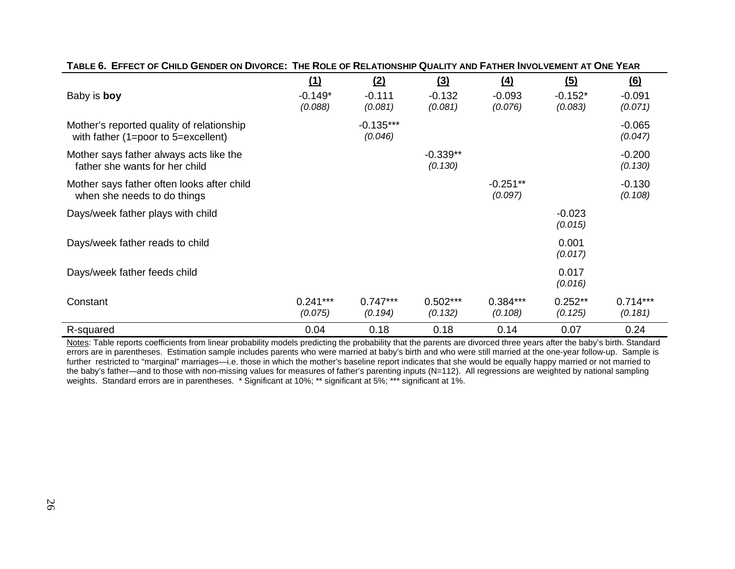| Baby is boy                                                                      | (1)<br>$-0.149*$<br>(0.088) | (2)<br>$-0.111$<br>(0.081) | (3)<br>$-0.132$<br>(0.081) | $\left(4\right)$<br>$-0.093$<br>(0.076) | (5)<br>$-0.152*$<br>(0.083) | $\underline{(6)}$<br>$-0.091$<br>(0.071) |
|----------------------------------------------------------------------------------|-----------------------------|----------------------------|----------------------------|-----------------------------------------|-----------------------------|------------------------------------------|
| Mother's reported quality of relationship<br>with father (1=poor to 5=excellent) |                             | $-0.135***$<br>(0.046)     |                            |                                         |                             | $-0.065$<br>(0.047)                      |
| Mother says father always acts like the<br>father she wants for her child        |                             |                            | $-0.339**$<br>(0.130)      |                                         |                             | $-0.200$<br>(0.130)                      |
| Mother says father often looks after child<br>when she needs to do things        |                             |                            |                            | $-0.251**$<br>(0.097)                   |                             | $-0.130$<br>(0.108)                      |
| Days/week father plays with child                                                |                             |                            |                            |                                         | $-0.023$<br>(0.015)         |                                          |
| Days/week father reads to child                                                  |                             |                            |                            |                                         | 0.001<br>(0.017)            |                                          |
| Days/week father feeds child                                                     |                             |                            |                            |                                         | 0.017<br>(0.016)            |                                          |
| Constant                                                                         | $0.241***$<br>(0.075)       | $0.747***$<br>(0.194)      | $0.502***$<br>(0.132)      | $0.384***$<br>(0.108)                   | $0.252**$<br>(0.125)        | $0.714***$<br>(0.181)                    |
| R-squared                                                                        | 0.04                        | 0.18                       | 0.18                       | 0.14                                    | 0.07                        | 0.24                                     |

Notes: Table reports coefficients from linear probability models predicting the probability that the parents are divorced three years after the baby's birth. Standard errors are in parentheses. Estimation sample includes parents who were married at baby's birth and who were still married at the one-year follow-up. Sample is further restricted to "marginal" marriages—i.e. those in which the mother's baseline report indicates that she would be equally happy married or not married to the baby's father—and to those with non-missing values for measures of father's parenting inputs (N=112). All regressions are weighted by national sampling weights. Standard errors are in parentheses. \* Significant at 10%; \*\* significant at 5%; \*\*\* significant at 1%.